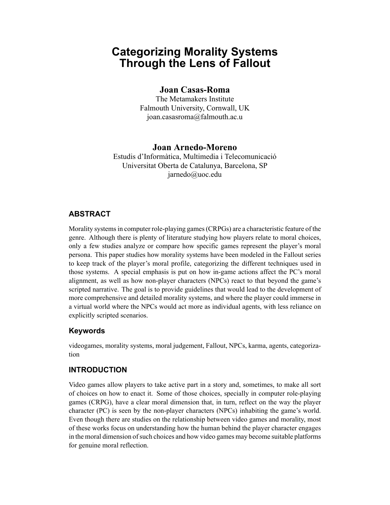# **Categorizing Morality Systems Through the Lens of Fallout**

## **Joan Casas-Roma**

The Metamakers Institute Falmouth University, Cornwall, UK joan.casasroma@falmouth.ac.u

## **Joan Arnedo-Moreno**

Estudis d'Informàtica, Multimedia i Telecomunicació Universitat Oberta de Catalunya, Barcelona, SP jarnedo@uoc.edu

# **ABSTRACT**

Morality systems in computer role-playing games (CRPGs) are a characteristic feature of the genre. Although there is plenty of literature studying how players relate to moral choices, only a few studies analyze or compare how specific games represent the player's moral persona. This paper studies how morality systems have been modeled in the Fallout series to keep track of the player's moral profile, categorizing the different techniques used in those systems. A special emphasis is put on how in-game actions affect the PC's moral alignment, as well as how non-player characters (NPCs) react to that beyond the game's scripted narrative. The goal is to provide guidelines that would lead to the development of more comprehensive and detailed morality systems, and where the player could immerse in a virtual world where the NPCs would act more as individual agents, with less reliance on explicitly scripted scenarios.

## **Keywords**

videogames, morality systems, moral judgement, Fallout, NPCs, karma, agents, categorization

## **INTRODUCTION**

Video games allow players to take active part in a story and, sometimes, to make all sort of choices on how to enact it. Some of those choices, specially in computer role-playing games (CRPG), have a clear moral dimension that, in turn, reflect on the way the player character (PC) is seen by the non-player characters (NPCs) inhabiting the game's world. Even though there are studies on the relationship between video games and morality, most of these works focus on understanding how the human behind the player character engages in the moral dimension of such choices and how video games may become suitable platforms for genuine moral reflection.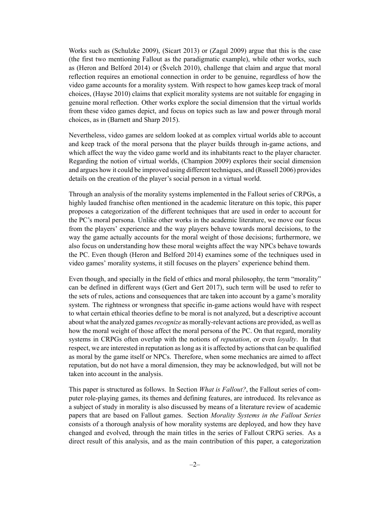Works such as (Schulzke 2009), (Sicart 2013) or (Zagal 2009) argue that this is the case (the first two mentioning Fallout as the paradigmatic example), while other works, such as (Heron and Belford 2014) or (Švelch 2010), challenge that claim and argue that moral reflection requires an emotional connection in order to be genuine, regardless of how the video game accounts for a morality system. With respect to how games keep track of moral choices, (Hayse 2010) claims that explicit morality systems are not suitable for engaging in genuine moral reflection. Other works explore the social dimension that the virtual worlds from these video games depict, and focus on topics such as law and power through moral choices, as in (Barnett and Sharp 2015).

Nevertheless, video games are seldom looked at as complex virtual worlds able to account and keep track of the moral persona that the player builds through in-game actions, and which affect the way the video game world and its inhabitants react to the player character. Regarding the notion of virtual worlds, (Champion 2009) explores their social dimension and argues how it could be improved using different techniques, and (Russell 2006) provides details on the creation of the player's social person in a virtual world.

Through an analysis of the morality systems implemented in the Fallout series of CRPGs, a highly lauded franchise often mentioned in the academic literature on this topic, this paper proposes a categorization of the different techniques that are used in order to account for the PC's moral persona. Unlike other works in the academic literature, we move our focus from the players' experience and the way players behave towards moral decisions, to the way the game actually accounts for the moral weight of those decisions; furthermore, we also focus on understanding how these moral weights affect the way NPCs behave towards the PC. Even though (Heron and Belford 2014) examines some of the techniques used in video games' morality systems, it still focuses on the players' experience behind them.

Even though, and specially in the field of ethics and moral philosophy, the term "morality" can be defined in different ways (Gert and Gert 2017), such term will be used to refer to the sets of rules, actions and consequences that are taken into account by a game's morality system. The rightness or wrongness that specific in-game actions would have with respect to what certain ethical theories define to be moral is not analyzed, but a descriptive account about what the analyzed games*recognize* as morally-relevant actions are provided, as well as how the moral weight of those affect the moral persona of the PC. On that regard, morality systems in CRPGs often overlap with the notions of *reputation*, or even *loyalty*. In that respect, we are interested in reputation as long as it is affected by actions that can be qualified as moral by the game itself or NPCs. Therefore, when some mechanics are aimed to affect reputation, but do not have a moral dimension, they may be acknowledged, but will not be taken into account in the analysis.

This paper is structured as follows. In Section *What is Fallout?*, the Fallout series of computer role-playing games, its themes and defining features, are introduced. Its relevance as a subject of study in morality is also discussed by means of a literature review of academic papers that are based on Fallout games. Section *Morality Systems in the Fallout Series* consists of a thorough analysis of how morality systems are deployed, and how they have changed and evolved, through the main titles in the series of Fallout CRPG series. As a direct result of this analysis, and as the main contribution of this paper, a categorization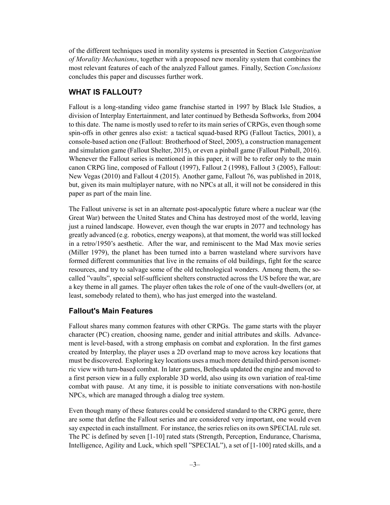of the different techniques used in morality systems is presented in Section *Categorization of Morality Mechanisms*, together with a proposed new morality system that combines the most relevant features of each of the analyzed Fallout games. Finally, Section *Conclusions* concludes this paper and discusses further work.

## **WHAT IS FALLOUT?**

Fallout is a long-standing video game franchise started in 1997 by Black Isle Studios, a division of Interplay Entertainment, and later continued by Bethesda Softworks, from 2004 to this date. The name is mostly used to refer to its main series of CRPGs, even though some spin-offs in other genres also exist: a tactical squad-based RPG (Fallout Tactics, 2001), a console-based action one (Fallout: Brotherhood of Steel, 2005), a construction management and simulation game (Fallout Shelter, 2015), or even a pinball game (Fallout Pinball, 2016). Whenever the Fallout series is mentioned in this paper, it will be to refer only to the main canon CRPG line, composed of Fallout (1997), Fallout 2 (1998), Fallout 3 (2005), Fallout: New Vegas (2010) and Fallout 4 (2015). Another game, Fallout 76, was published in 2018, but, given its main multiplayer nature, with no NPCs at all, it will not be considered in this paper as part of the main line.

The Fallout universe is set in an alternate post-apocalyptic future where a nuclear war (the Great War) between the United States and China has destroyed most of the world, leaving just a ruined landscape. However, even though the war erupts in 2077 and technology has greatly advanced (e.g. robotics, energy weapons), at that moment, the world was still locked in a retro/1950's aesthetic. After the war, and reminiscent to the Mad Max movie series (Miller 1979), the planet has been turned into a barren wasteland where survivors have formed different communities that live in the remains of old buildings, fight for the scarce resources, and try to salvage some of the old technological wonders. Among them, the socalled "vaults", special self-sufficient shelters constructed across the US before the war, are a key theme in all games. The player often takes the role of one of the vault-dwellers (or, at least, somebody related to them), who has just emerged into the wasteland.

### **Fallout's Main Features**

Fallout shares many common features with other CRPGs. The game starts with the player character (PC) creation, choosing name, gender and initial attributes and skills. Advancement is level-based, with a strong emphasis on combat and exploration. In the first games created by Interplay, the player uses a 2D overland map to move across key locations that must be discovered. Exploring key locations uses a much more detailed third-person isometric view with turn-based combat. In later games, Bethesda updated the engine and moved to a first person view in a fully explorable 3D world, also using its own variation of real-time combat with pause. At any time, it is possible to initiate conversations with non-hostile NPCs, which are managed through a dialog tree system.

Even though many of these features could be considered standard to the CRPG genre, there are some that define the Fallout series and are considered very important, one would even say expected in each installment. For instance, the series relies on its own SPECIAL rule set. The PC is defined by seven [1-10] rated stats (Strength, Perception, Endurance, Charisma, Intelligence, Agility and Luck, which spell "SPECIAL"), a set of [1-100] rated skills, and a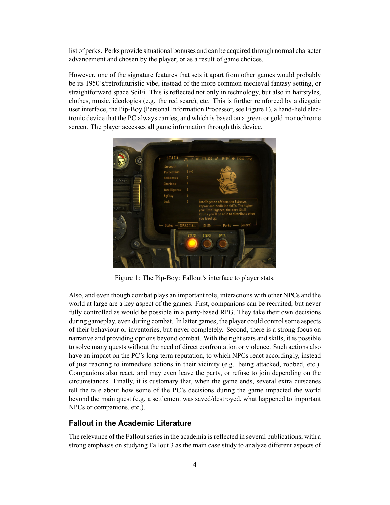list of perks. Perks provide situational bonuses and can be acquired through normal character advancement and chosen by the player, or as a result of game choices.

However, one of the signature features that sets it apart from other games would probably be its 1950's/retrofuturistic vibe, instead of the more common medieval fantasy setting, or straightforward space SciFi. This is reflected not only in technology, but also in hairstyles, clothes, music, ideologies (e.g. the red scare), etc. This is further reinforced by a diegetic user interface, the Pip-Boy (Personal Information Processor, see Figure 1), a hand-held electronic device that the PC always carries, and which is based on a green or gold monochrome screen. The player accesses all game information through this device.



Figure 1: The Pip-Boy: Fallout's interface to player stats.

Also, and even though combat plays an important role, interactions with other NPCs and the world at large are a key aspect of the games. First, companions can be recruited, but never fully controlled as would be possible in a party-based RPG. They take their own decisions during gameplay, even during combat. In latter games, the player could control some aspects of their behaviour or inventories, but never completely. Second, there is a strong focus on narrative and providing options beyond combat. With the right stats and skills, it is possible to solve many quests without the need of direct confrontation or violence. Such actions also have an impact on the PC's long term reputation, to which NPCs react accordingly, instead of just reacting to immediate actions in their vicinity (e.g. being attacked, robbed, etc.). Companions also react, and may even leave the party, or refuse to join depending on the circumstances. Finally, it is customary that, when the game ends, several extra cutscenes tell the tale about how some of the PC's decisions during the game impacted the world beyond the main quest (e.g. a settlement was saved/destroyed, what happened to important NPCs or companions, etc.).

#### **Fallout in the Academic Literature**

The relevance of the Fallout series in the academia is reflected in several publications, with a strong emphasis on studying Fallout 3 as the main case study to analyze different aspects of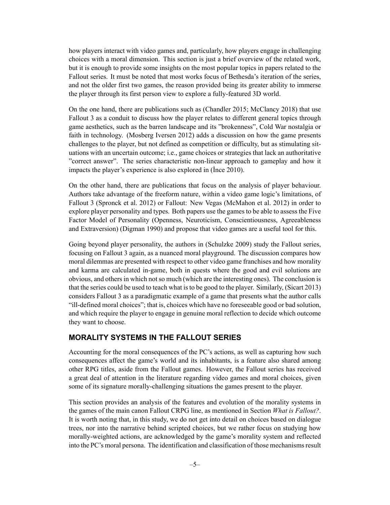how players interact with video games and, particularly, how players engage in challenging choices with a moral dimension. This section is just a brief overview of the related work, but it is enough to provide some insights on the most popular topics in papers related to the Fallout series. It must be noted that most works focus of Bethesda's iteration of the series, and not the older first two games, the reason provided being its greater ability to immerse the player through its first person view to explore a fully-featured 3D world.

On the one hand, there are publications such as (Chandler 2015; McClancy 2018) that use Fallout 3 as a conduit to discuss how the player relates to different general topics through game aesthetics, such as the barren landscape and its "brokenness", Cold War nostalgia or faith in technology. (Mosberg Iversen 2012) adds a discussion on how the game presents challenges to the player, but not defined as competition or difficulty, but as stimulating situations with an uncertain outcome; i.e., game choices or strategies that lack an authoritative "correct answer". The series characteristic non-linear approach to gameplay and how it impacts the player's experience is also explored in (İnce 2010).

On the other hand, there are publications that focus on the analysis of player behaviour. Authors take advantage of the freeform nature, within a video game logic's limitations, of Fallout 3 (Spronck et al. 2012) or Fallout: New Vegas (McMahon et al. 2012) in order to explore player personality and types. Both papers use the games to be able to assess the Five Factor Model of Personality (Openness, Neuroticism, Conscientiousness, Agreeableness and Extraversion) (Digman 1990) and propose that video games are a useful tool for this.

Going beyond player personality, the authors in (Schulzke 2009) study the Fallout series, focusing on Fallout 3 again, as a nuanced moral playground. The discussion compares how moral dilemmas are presented with respect to other video game franchises and how morality and karma are calculated in-game, both in quests where the good and evil solutions are obvious, and others in which not so much (which are the interesting ones). The conclusion is that the series could be used to teach what is to be good to the player. Similarly, (Sicart 2013) considers Fallout 3 as a paradigmatic example of a game that presents what the author calls "ill-defined moral choices"; that is, choices which have no foreseeable good or bad solution, and which require the player to engage in genuine moral reflection to decide which outcome they want to choose.

#### **MORALITY SYSTEMS IN THE FALLOUT SERIES**

Accounting for the moral consequences of the PC's actions, as well as capturing how such consequences affect the game's world and its inhabitants, is a feature also shared among other RPG titles, aside from the Fallout games. However, the Fallout series has received a great deal of attention in the literature regarding video games and moral choices, given some of its signature morally-challenging situations the games present to the player.

This section provides an analysis of the features and evolution of the morality systems in the games of the main canon Fallout CRPG line, as mentioned in Section *What is Fallout?*. It is worth noting that, in this study, we do not get into detail on choices based on dialogue trees, nor into the narrative behind scripted choices, but we rather focus on studying how morally-weighted actions, are acknowledged by the game's morality system and reflected into the PC's moral persona. The identification and classification of those mechanisms result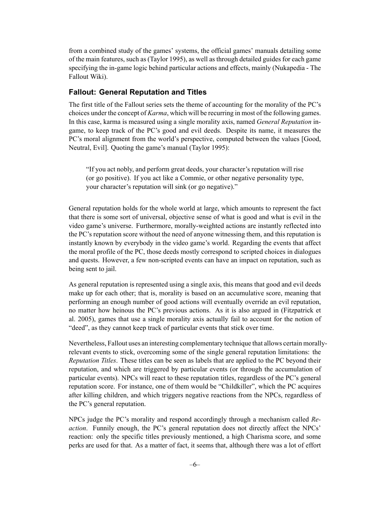from a combined study of the games' systems, the official games' manuals detailing some of the main features, such as (Taylor 1995), as well as through detailed guides for each game specifying the in-game logic behind particular actions and effects, mainly (Nukapedia - The Fallout Wiki).

#### **Fallout: General Reputation and Titles**

The first title of the Fallout series sets the theme of accounting for the morality of the PC's choices under the concept of *Karma*, which will be recurring in most of the following games. In this case, karma is measured using a single morality axis, named *General Reputation* ingame, to keep track of the PC's good and evil deeds. Despite its name, it measures the PC's moral alignment from the world's perspective, computed between the values [Good, Neutral, Evil]. Quoting the game's manual (Taylor 1995):

"If you act nobly, and perform great deeds, your character's reputation will rise (or go positive). If you act like a Commie, or other negative personality type, your character's reputation will sink (or go negative)."

General reputation holds for the whole world at large, which amounts to represent the fact that there is some sort of universal, objective sense of what is good and what is evil in the video game's universe. Furthermore, morally-weighted actions are instantly reflected into the PC's reputation score without the need of anyone witnessing them, and this reputation is instantly known by everybody in the video game's world. Regarding the events that affect the moral profile of the PC, those deeds mostly correspond to scripted choices in dialogues and quests. However, a few non-scripted events can have an impact on reputation, such as being sent to jail.

As general reputation is represented using a single axis, this means that good and evil deeds make up for each other; that is, morality is based on an accumulative score, meaning that performing an enough number of good actions will eventually override an evil reputation, no matter how heinous the PC's previous actions. As it is also argued in (Fitzpatrick et al. 2005), games that use a single morality axis actually fail to account for the notion of "deed", as they cannot keep track of particular events that stick over time.

Nevertheless, Fallout uses an interesting complementary technique that allows certain morallyrelevant events to stick, overcoming some of the single general reputation limitations: the *Reputation Titles*. These titles can be seen as labels that are applied to the PC beyond their reputation, and which are triggered by particular events (or through the accumulation of particular events). NPCs will react to these reputation titles, regardless of the PC's general reputation score. For instance, one of them would be "Childkiller", which the PC acquires after killing children, and which triggers negative reactions from the NPCs, regardless of the PC's general reputation.

NPCs judge the PC's morality and respond accordingly through a mechanism called *Reaction*. Funnily enough, the PC's general reputation does not directly affect the NPCs' reaction: only the specific titles previously mentioned, a high Charisma score, and some perks are used for that. As a matter of fact, it seems that, although there was a lot of effort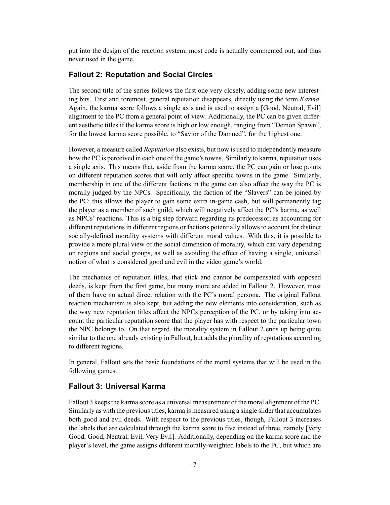put into the design of the reaction system, most code is actually commented out, and thus never used in the game.

#### **Fallout 2: Reputation and Social Circles**

The second title of the series follows the first one very closely, adding some new interesting bits. First and foremost, general reputation disappears, directly using the term *Karma*. Again, the karma score follows a single axis and is used to assign a [Good, Neutral, Evil] alignment to the PC from a general point of view. Additionally, the PC can be given different aesthetic titles if the karma score is high or low enough, ranging from "Demon Spawn", for the lowest karma score possible, to "Savior of the Damned", for the highest one.

However, a measure called *Reputation* also exists, but now is used to independently measure how the PC is perceived in each one of the game's towns. Similarly to karma, reputation uses a single axis. This means that, aside from the karma score, the PC can gain or lose points on different reputation scores that will only affect specific towns in the game. Similarly, membership in one of the different factions in the game can also affect the way the PC is morally judged by the NPCs. Specifically, the faction of the "Slavers" can be joined by the PC: this allows the player to gain some extra in-game cash, but will permanently tag the player as a member of such guild, which will negatively affect the PC's karma, as well as NPCs' reactions. This is a big step forward regarding its predecessor, as accounting for different reputations in different regions or factions potentially allows to account for distinct socially-defined morality systems with different moral values. With this, it is possible to provide a more plural view of the social dimension of morality, which can vary depending on regions and social groups, as well as avoiding the effect of having a single, universal notion of what is considered good and evil in the video game's world.

The mechanics of reputation titles, that stick and cannot be compensated with opposed deeds, is kept from the first game, but many more are added in Fallout 2. However, most of them have no actual direct relation with the PC's moral persona. The original Fallout reaction mechanism is also kept, but adding the new elements into consideration, such as the way new reputation titles affect the NPCs perception of the PC, or by taking into account the particular reputation score that the player has with respect to the particular town the NPC belongs to. On that regard, the morality system in Fallout 2 ends up being quite similar to the one already existing in Fallout, but adds the plurality of reputations according to different regions.

In general, Fallout sets the basic foundations of the moral systems that will be used in the following games.

#### **Fallout 3: Universal Karma**

Fallout 3 keeps the karma score as a universal measurement of the moral alignment of the PC. Similarly as with the previous titles, karma is measured using a single slider that accumulates both good and evil deeds. With respect to the previous titles, though, Fallout 3 increases the labels that are calculated through the karma score to five instead of three, namely [Very Good, Good, Neutral, Evil, Very Evil]. Additionally, depending on the karma score and the player's level, the game assigns different morally-weighted labels to the PC, but which are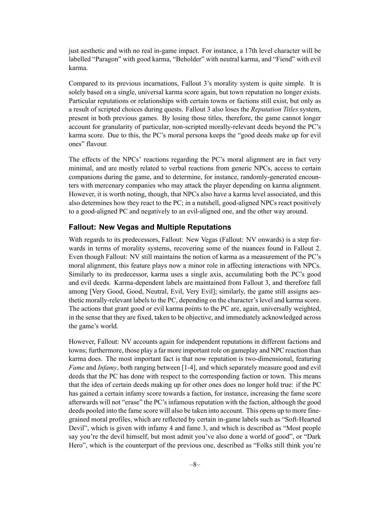just aesthetic and with no real in-game impact. For instance, a 17th level character will be labelled "Paragon" with good karma, "Beholder" with neutral karma, and "Fiend" with evil karma.

Compared to its previous incarnations, Fallout 3's morality system is quite simple. It is solely based on a single, universal karma score again, but town reputation no longer exists. Particular reputations or relationships with certain towns or factions still exist, but only as a result of scripted choices during quests. Fallout 3 also loses the *Reputation Titles* system, present in both previous games. By losing those titles, therefore, the game cannot longer account for granularity of particular, non-scripted morally-relevant deeds beyond the PC's karma score. Due to this, the PC's moral persona keeps the "good deeds make up for evil ones" flavour.

The effects of the NPCs' reactions regarding the PC's moral alignment are in fact very minimal, and are mostly related to verbal reactions from generic NPCs, access to certain companions during the game, and to determine, for instance, randomly-generated encounters with mercenary companies who may attack the player depending on karma alignment. However, it is worth noting, though, that NPCs also have a karma level associated, and this also determines how they react to the PC; in a nutshell, good-aligned NPCs react positively to a good-aligned PC and negatively to an evil-aligned one, and the other way around.

#### **Fallout: New Vegas and Multiple Reputations**

With regards to its predecessors, Fallout: New Vegas (Fallout: NV onwards) is a step forwards in terms of morality systems, recovering some of the nuances found in Fallout 2. Even though Fallout: NV still maintains the notion of karma as a measurement of the PC's moral alignment, this feature plays now a minor role in affecting interactions with NPCs. Similarly to its predecessor, karma uses a single axis, accumulating both the PC's good and evil deeds. Karma-dependent labels are maintained from Fallout 3, and therefore fall among [Very Good, Good, Neutral, Evil, Very Evil]; similarly, the game still assigns aesthetic morally-relevant labels to the PC, depending on the character's level and karma score. The actions that grant good or evil karma points to the PC are, again, universally weighted, in the sense that they are fixed, taken to be objective, and immediately acknowledged across the game's world.

However, Fallout: NV accounts again for independent reputations in different factions and towns; furthermore, those play a far more important role on gameplay and NPC reaction than karma does. The most important fact is that now reputation is two-dimensional, featuring *Fame* and *Infamy*, both ranging between [1-4], and which separately measure good and evil deeds that the PC has done with respect to the corresponding faction or town. This means that the idea of certain deeds making up for other ones does no longer hold true: if the PC has gained a certain infamy score towards a faction, for instance, increasing the fame score afterwards will not "erase" the PC's infamous reputation with the faction, although the good deeds pooled into the fame score will also be taken into account. This opens up to more finegrained moral profiles, which are reflected by certain in-game labels such as "Soft-Hearted Devil", which is given with infamy 4 and fame 3, and which is described as "Most people say you're the devil himself, but most admit you've also done a world of good", or "Dark" Hero", which is the counterpart of the previous one, described as "Folks still think you're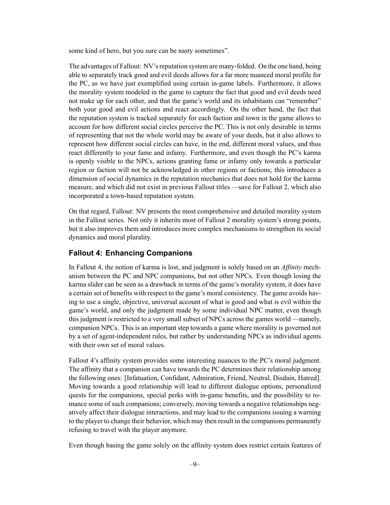some kind of hero, but you sure can be nasty sometimes".

The advantages of Fallout: NV's reputation system are many-folded. On the one hand, being able to separately track good and evil deeds allows for a far more nuanced moral profile for the PC, as we have just exemplified using certain in-game labels. Furthermore, it allows the morality system modeled in the game to capture the fact that good and evil deeds need not make up for each other, and that the game's world and its inhabitants can "remember" both your good and evil actions and react accordingly. On the other hand, the fact that the reputation system is tracked separately for each faction and town in the game allows to account for how different social circles perceive the PC. This is not only desirable in terms of representing that not the whole world may be aware of your deeds, but it also allows to represent how different social circles can have, in the end, different moral values, and thus react differently to your fame and infamy. Furthermore, and even though the PC's karma is openly visible to the NPCs, actions granting fame or infamy only towards a particular region or faction will not be acknowledged in other regions or factions; this introduces a dimension of social dynamics in the reputation mechanics that does not hold for the karma measure, and which did not exist in previous Fallout titles —save for Fallout 2, which also incorporated a town-based reputation system.

On that regard, Fallout: NV presents the most comprehensive and detailed morality system in the Fallout series. Not only it inherits most of Fallout 2 morality system's strong points, but it also improves them and introduces more complex mechanisms to strengthen its social dynamics and moral plurality.

#### **Fallout 4: Enhancing Companions**

In Fallout 4, the notion of karma is lost, and judgment is solely based on an *Affinity* mechanism between the PC and NPC companions, but not other NPCs. Even though losing the karma slider can be seen as a drawback in terms of the game's morality system, it does have a certain set of benefits with respect to the game's moral consistency. The game avoids having to use a single, objective, universal account of what is good and what is evil within the game's world, and only the judgment made by some individual NPC matter, even though this judgment is restricted to a very small subset of NPCs across the games world —namely, companion NPCs. This is an important step towards a game where morality is governed not by a set of agent-independent rules, but rather by understanding NPCs as individual agents with their own set of moral values.

Fallout 4's affinity system provides some interesting nuances to the PC's moral judgment. The affinity that a companion can have towards the PC determines their relationship among the following ones: [Infatuation, Confidant, Admiration, Friend, Neutral, Disdain, Hatred]. Moving towards a good relationship will lead to different dialogue options, personalized quests for the companions, special perks with in-game benefits, and the possibility to romance some of such companions; conversely, moving towards a negative relationships negatively affect their dialogue interactions, and may lead to the companions issuing a warning to the player to change their behavior, which may then result in the companions permanently refusing to travel with the player anymore.

Even though basing the game solely on the affinity system does restrict certain features of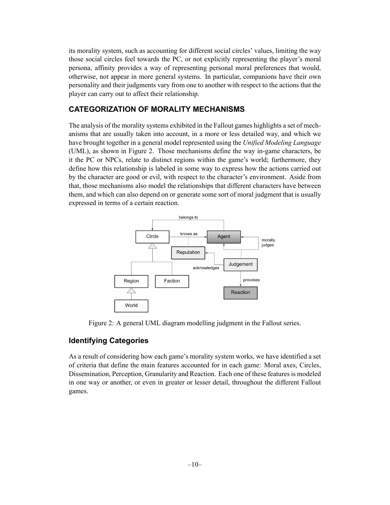its morality system, such as accounting for different social circles' values, limiting the way those social circles feel towards the PC, or not explicitly representing the player's moral persona, affinity provides a way of representing personal moral preferences that would, otherwise, not appear in more general systems. In particular, companions have their own personality and their judgments vary from one to another with respect to the actions that the player can carry out to affect their relationship.

## **CATEGORIZATION OF MORALITY MECHANISMS**

The analysis of the morality systems exhibited in the Fallout games highlights a set of mechanisms that are usually taken into account, in a more or less detailed way, and which we have brought together in a general model represented using the *Unified Modeling Language* (UML), as shown in Figure 2. Those mechanisms define the way in-game characters, be it the PC or NPCs, relate to distinct regions within the game's world; furthermore, they define how this relationship is labeled in some way to express how the actions carried out by the character are good or evil, with respect to the character's environment. Aside from that, those mechanisms also model the relationships that different characters have between them, and which can also depend on or generate some sort of moral judgment that is usually expressed in terms of a certain reaction.



Figure 2: A general UML diagram modelling judgment in the Fallout series.

## **Identifying Categories**

As a result of considering how each game's morality system works, we have identified a set of criteria that define the main features accounted for in each game: Moral axes, Circles, Dissemination, Perception, Granularity and Reaction. Each one of these features is modeled in one way or another, or even in greater or lesser detail, throughout the different Fallout games.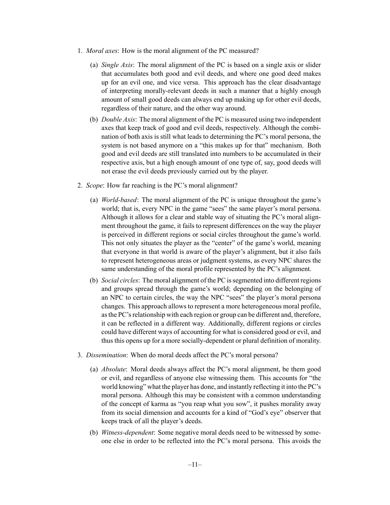- 1. *Moral axes*: How is the moral alignment of the PC measured?
	- (a) *Single Axis*: The moral alignment of the PC is based on a single axis or slider that accumulates both good and evil deeds, and where one good deed makes up for an evil one, and vice versa. This approach has the clear disadvantage of interpreting morally-relevant deeds in such a manner that a highly enough amount of small good deeds can always end up making up for other evil deeds, regardless of their nature, and the other way around.
	- (b) *Double Axis*: The moral alignment of the PC is measured using two independent axes that keep track of good and evil deeds, respectively. Although the combination of both axis is still what leads to determining the PC's moral persona, the system is not based anymore on a "this makes up for that" mechanism. Both good and evil deeds are still translated into numbers to be accumulated in their respective axis, but a high enough amount of one type of, say, good deeds will not erase the evil deeds previously carried out by the player.
- 2. *Scope*: How far reaching is the PC's moral alignment?
	- (a) *World-based*: The moral alignment of the PC is unique throughout the game's world; that is, every NPC in the game "sees" the same player's moral persona. Although it allows for a clear and stable way of situating the PC's moral alignment throughout the game, it fails to represent differences on the way the player is perceived in different regions or social circles throughout the game's world. This not only situates the player as the "center" of the game's world, meaning that everyone in that world is aware of the player's alignment, but it also fails to represent heterogeneous areas or judgment systems, as every NPC shares the same understanding of the moral profile represented by the PC's alignment.
	- (b) *Social circles*: The moral alignment of the PC is segmented into different regions and groups spread through the game's world; depending on the belonging of an NPC to certain circles, the way the NPC "sees" the player's moral persona changes. This approach allows to represent a more heterogeneous moral profile, as the PC's relationship with each region or group can be different and, therefore, it can be reflected in a different way. Additionally, different regions or circles could have different ways of accounting for what is considered good or evil, and thus this opens up for a more socially-dependent or plural definition of morality.
- 3. *Dissemination*: When do moral deeds affect the PC's moral persona?
	- (a) *Absolute*: Moral deeds always affect the PC's moral alignment, be them good or evil, and regardless of anyone else witnessing them. This accounts for "the world knowing" what the player has done, and instantly reflecting it into the PC's moral persona. Although this may be consistent with a common understanding of the concept of karma as "you reap what you sow", it pushes morality away from its social dimension and accounts for a kind of "God's eye" observer that keeps track of all the player's deeds.
	- (b) *Witness-dependent*: Some negative moral deeds need to be witnessed by someone else in order to be reflected into the PC's moral persona. This avoids the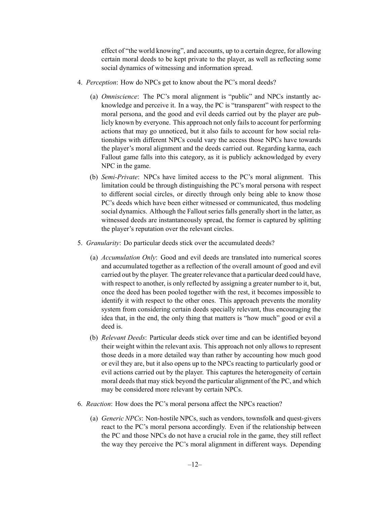effect of "the world knowing", and accounts, up to a certain degree, for allowing certain moral deeds to be kept private to the player, as well as reflecting some social dynamics of witnessing and information spread.

- 4. *Perception*: How do NPCs get to know about the PC's moral deeds?
	- (a) *Omniscience*: The PC's moral alignment is "public" and NPCs instantly acknowledge and perceive it. In a way, the PC is "transparent" with respect to the moral persona, and the good and evil deeds carried out by the player are publicly known by everyone. This approach not only fails to account for performing actions that may go unnoticed, but it also fails to account for how social relationships with different NPCs could vary the access those NPCs have towards the player's moral alignment and the deeds carried out. Regarding karma, each Fallout game falls into this category, as it is publicly acknowledged by every NPC in the game.
	- (b) *Semi-Private*: NPCs have limited access to the PC's moral alignment. This limitation could be through distinguishing the PC's moral persona with respect to different social circles, or directly through only being able to know those PC's deeds which have been either witnessed or communicated, thus modeling social dynamics. Although the Fallout series falls generally short in the latter, as witnessed deeds are instantaneously spread, the former is captured by splitting the player's reputation over the relevant circles.
- 5. *Granularity*: Do particular deeds stick over the accumulated deeds?
	- (a) *Accumulation Only*: Good and evil deeds are translated into numerical scores and accumulated together as a reflection of the overall amount of good and evil carried out by the player. The greater relevance that a particular deed could have, with respect to another, is only reflected by assigning a greater number to it, but, once the deed has been pooled together with the rest, it becomes impossible to identify it with respect to the other ones. This approach prevents the morality system from considering certain deeds specially relevant, thus encouraging the idea that, in the end, the only thing that matters is "how much" good or evil a deed is.
	- (b) *Relevant Deeds*: Particular deeds stick over time and can be identified beyond their weight within the relevant axis. This approach not only allows to represent those deeds in a more detailed way than rather by accounting how much good or evil they are, but it also opens up to the NPCs reacting to particularly good or evil actions carried out by the player. This captures the heterogeneity of certain moral deeds that may stick beyond the particular alignment of the PC, and which may be considered more relevant by certain NPCs.
- 6. *Reaction*: How does the PC's moral persona affect the NPCs reaction?
	- (a) *Generic NPCs*: Non-hostile NPCs, such as vendors, townsfolk and quest-givers react to the PC's moral persona accordingly. Even if the relationship between the PC and those NPCs do not have a crucial role in the game, they still reflect the way they perceive the PC's moral alignment in different ways. Depending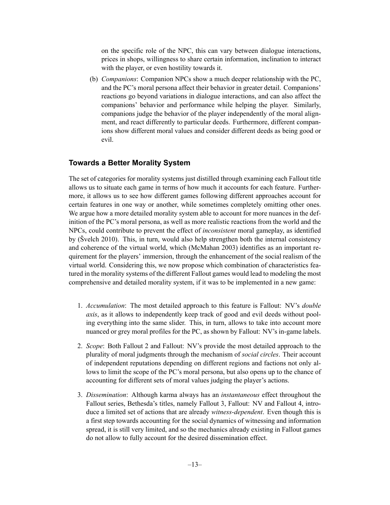on the specific role of the NPC, this can vary between dialogue interactions, prices in shops, willingness to share certain information, inclination to interact with the player, or even hostility towards it.

(b) *Companions*: Companion NPCs show a much deeper relationship with the PC, and the PC's moral persona affect their behavior in greater detail. Companions' reactions go beyond variations in dialogue interactions, and can also affect the companions' behavior and performance while helping the player. Similarly, companions judge the behavior of the player independently of the moral alignment, and react differently to particular deeds. Furthermore, different companions show different moral values and consider different deeds as being good or evil.

#### **Towards a Better Morality System**

The set of categories for morality systems just distilled through examining each Fallout title allows us to situate each game in terms of how much it accounts for each feature. Furthermore, it allows us to see how different games following different approaches account for certain features in one way or another, while sometimes completely omitting other ones. We argue how a more detailed morality system able to account for more nuances in the definition of the PC's moral persona, as well as more realistic reactions from the world and the NPCs, could contribute to prevent the effect of *inconsistent* moral gameplay, as identified by (Švelch 2010). This, in turn, would also help strengthen both the internal consistency and coherence of the virtual world, which (McMahan 2003) identifies as an important requirement for the players' immersion, through the enhancement of the social realism of the virtual world. Considering this, we now propose which combination of characteristics featured in the morality systems of the different Fallout games would lead to modeling the most comprehensive and detailed morality system, if it was to be implemented in a new game:

- 1. *Accumulation*: The most detailed approach to this feature is Fallout: NV's *double axis*, as it allows to independently keep track of good and evil deeds without pooling everything into the same slider. This, in turn, allows to take into account more nuanced or grey moral profiles for the PC, as shown by Fallout: NV's in-game labels.
- 2. *Scope*: Both Fallout 2 and Fallout: NV's provide the most detailed approach to the plurality of moral judgments through the mechanism of *social circles*. Their account of independent reputations depending on different regions and factions not only allows to limit the scope of the PC's moral persona, but also opens up to the chance of accounting for different sets of moral values judging the player's actions.
- 3. *Dissemination*: Although karma always has an *instantaneous* effect throughout the Fallout series, Bethesda's titles, namely Fallout 3, Fallout: NV and Fallout 4, introduce a limited set of actions that are already *witness-dependent*. Even though this is a first step towards accounting for the social dynamics of witnessing and information spread, it is still very limited, and so the mechanics already existing in Fallout games do not allow to fully account for the desired dissemination effect.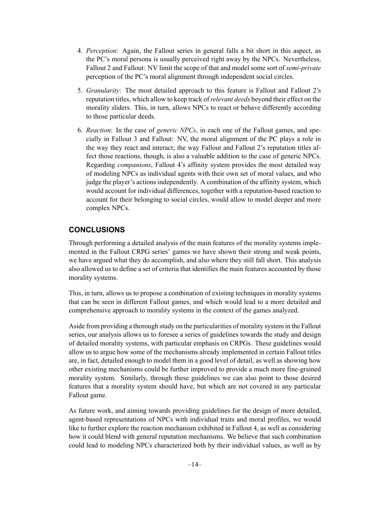- 4. *Perception*: Again, the Fallout series in general falls a bit short in this aspect, as the PC's moral persona is usually perceived right away by the NPCs. Nevertheless, Fallout 2 and Fallout: NV limit the scope of that and model some sort of *semi-private* perception of the PC's moral alignment through independent social circles.
- 5. *Granularity*: The most detailed approach to this feature is Fallout and Fallout 2's reputation titles, which allow to keep track of*relevant deeds* beyond their effect on the morality sliders. This, in turn, allows NPCs to react or behave differently according to those particular deeds.
- 6. *Reaction*: In the case of *generic NPCs*, in each one of the Fallout games, and specially in Fallout 3 and Fallout: NV, the moral alignment of the PC plays a role in the way they react and interact; the way Fallout and Fallout 2's reputation titles affect those reactions, though, is also a valuable addition to the case of generic NPCs. Regarding *companions*, Fallout 4's affinity system provides the most detailed way of modeling NPCs as individual agents with their own set of moral values, and who judge the player's actions independently. A combination of the affinity system, which would account for individual differences, together with a reputation-based reaction to account for their belonging to social circles, would allow to model deeper and more complex NPCs.

## **CONCLUSIONS**

Through performing a detailed analysis of the main features of the morality systems implemented in the Fallout CRPG series' games we have shown their strong and weak points, we have argued what they do accomplish, and also where they still fall short. This analysis also allowed us to define a set of criteria that identifies the main features accounted by those morality systems.

This, in turn, allows us to propose a combination of existing techniques in morality systems that can be seen in different Fallout games, and which would lead to a more detailed and comprehensive approach to morality systems in the context of the games analyzed.

Aside from providing a thorough study on the particularities of morality system in the Fallout series, our analysis allows us to foresee a series of guidelines towards the study and design of detailed morality systems, with particular emphasis on CRPGs. These guidelines would allow us to argue how some of the mechanisms already implemented in certain Fallout titles are, in fact, detailed enough to model them in a good level of detail, as well as showing how other existing mechanisms could be further improved to provide a much more fine-grained morality system. Similarly, through these guidelines we can also point to those desired features that a morality system should have, but which are not covered in any particular Fallout game.

As future work, and aiming towards providing guidelines for the design of more detailed, agent-based representations of NPCs with individual traits and moral profiles, we would like to further explore the reaction mechanism exhibited in Fallout 4, as well as considering how it could blend with general reputation mechanisms. We believe that such combination could lead to modeling NPCs characterized both by their individual values, as well as by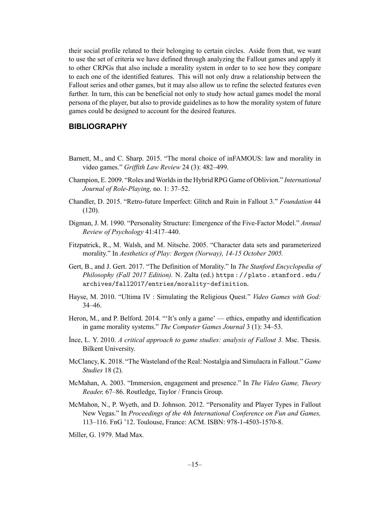their social profile related to their belonging to certain circles. Aside from that, we want to use the set of criteria we have defined through analyzing the Fallout games and apply it to other CRPGs that also include a morality system in order to to see how they compare to each one of the identified features. This will not only draw a relationship between the Fallout series and other games, but it may also allow us to refine the selected features even further. In turn, this can be beneficial not only to study how actual games model the moral persona of the player, but also to provide guidelines as to how the morality system of future games could be designed to account for the desired features.

#### **BIBLIOGRAPHY**

- Barnett, M., and C. Sharp. 2015. "The moral choice of inFAMOUS: law and morality in video games." *Griffith Law Review* 24 (3): 482–499.
- Champion, E. 2009. "Roles and Worlds in the Hybrid RPG Game of Oblivion." *International Journal of Role-Playing,* no. 1: 37–52.
- Chandler, D. 2015. "Retro-future Imperfect: Glitch and Ruin in Fallout 3." *Foundation* 44 (120).
- Digman, J. M. 1990. "Personality Structure: Emergence of the Five-Factor Model." *Annual Review of Psychology* 41:417–440.
- Fitzpatrick, R., M. Walsh, and M. Nitsche. 2005. "Character data sets and parameterized morality." In *Aesthetics of Play: Bergen (Norway), 14-15 October 2005.*
- Gert, B., and J. Gert. 2017. "The Definition of Morality." In *The Stanford Encyclopedia of Philosophy (Fall 2017 Edition).* N. Zalta (ed.) https://plato.stanford.edu/ archives/fall2017/entries/morality-definition.
- Hayse, M. 2010. "Ultima IV : Simulating the Religious Quest." *Video Games with God:* 34–46.
- Heron, M., and P. Belford. 2014. "'It's only a game' ethics, empathy and identification in game morality systems." *The Computer Games Journal* 3 (1): 34–53.
- İnce, L. Y. 2010. *A critical approach to game studies: analysis of Fallout 3.* Msc. Thesis. Bilkent University.
- McClancy, K. 2018. "The Wasteland of the Real: Nostalgia and Simulacra in Fallout." *Game Studies* 18 (2).
- McMahan, A. 2003. "Immersion, engagement and presence." In *The Video Game, Theory Reader,* 67–86. Routledge, Taylor / Francis Group.
- McMahon, N., P. Wyeth, and D. Johnson. 2012. "Personality and Player Types in Fallout New Vegas." In *Proceedings of the 4th International Conference on Fun and Games,* 113–116. FnG '12. Toulouse, France: ACM. ISBN: 978-1-4503-1570-8.

Miller, G. 1979. Mad Max*.*